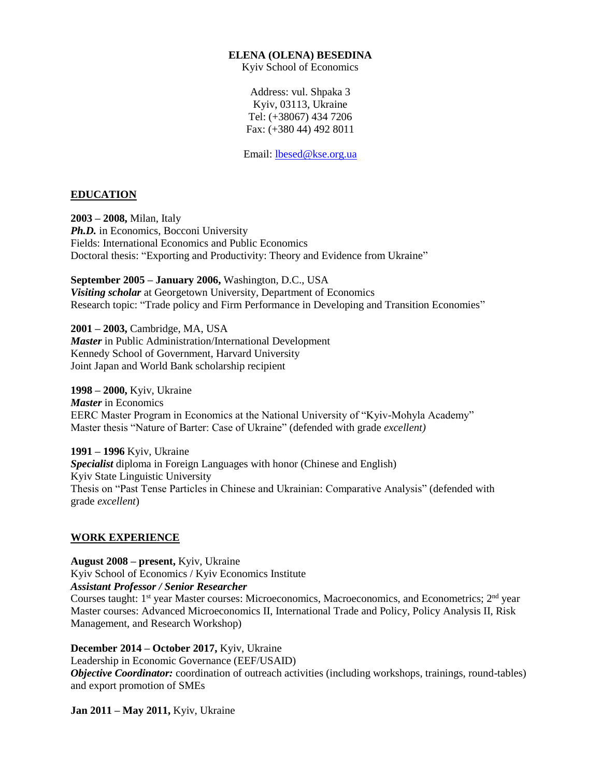#### **ELENA (OLENA) BESEDINA**

Kyiv School of Economics

Address: vul. Shpaka 3 Kyiv, 03113, Ukraine Tel: (+38067) 434 7206 Fax: (+380 44) 492 8011

Email: [lbesed@kse.org.ua](mailto:lbesed@kse.org.ua)

#### **EDUCATION**

**2003 – 2008,** Milan, Italy *Ph.D.* in Economics, Bocconi University Fields: International Economics and Public Economics Doctoral thesis: "Exporting and Productivity: Theory and Evidence from Ukraine"

**September 2005 – January 2006,** Washington, D.C., USA *Visiting scholar* at Georgetown University, Department of Economics Research topic: "Trade policy and Firm Performance in Developing and Transition Economies"

**2001 – 2003,** Cambridge, MA, USA *Master* in Public Administration/International Development Kennedy School of Government, Harvard University Joint Japan and World Bank scholarship recipient

**1998 – 2000,** Kyiv, Ukraine *Master* in Economics EERC Master Program in Economics at the National University of "Kyiv-Mohyla Academy" Master thesis "Nature of Barter: Case of Ukraine" (defended with grade *excellent)*

**1991 – 1996** Kyiv, Ukraine *Specialist* diploma in Foreign Languages with honor (Chinese and English) Kyiv State Linguistic University Thesis on "Past Tense Particles in Chinese and Ukrainian: Comparative Analysis" (defended with grade *excellent*)

#### **WORK EXPERIENCE**

**August 2008 – present,** Kyiv, Ukraine Kyiv School of Economics / Kyiv Economics Institute *Assistant Professor / Senior Researcher*

Courses taught: 1<sup>st</sup> year Master courses: Microeconomics, Macroeconomics, and Econometrics; 2<sup>nd</sup> year Master courses: Advanced Microeconomics II, International Trade and Policy, Policy Analysis II, Risk Management, and Research Workshop)

**December 2014 – October 2017,** Kyiv, Ukraine Leadership in Economic Governance (EEF/USAID) *Objective Coordinator:* coordination of outreach activities (including workshops, trainings, round-tables) and export promotion of SMEs

**Jan 2011 – May 2011,** Kyiv, Ukraine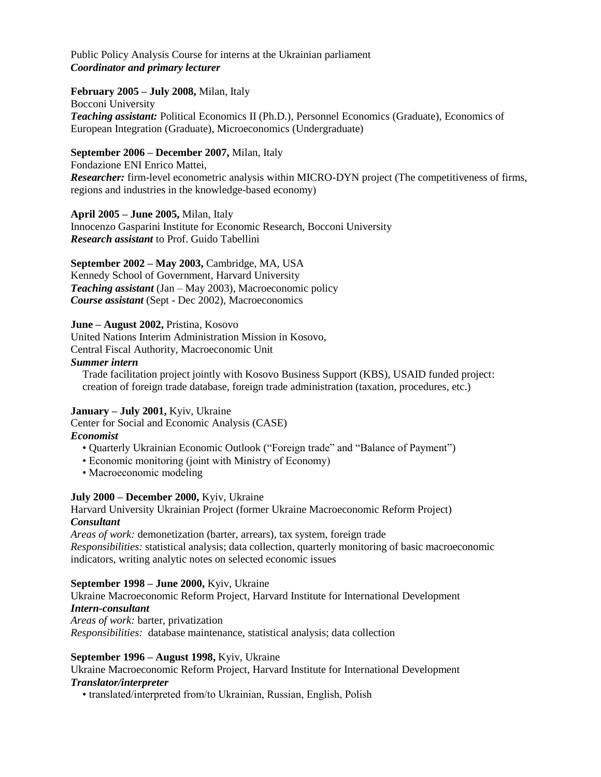Public Policy Analysis Course for interns at the Ukrainian parliament *Coordinator and primary lecturer*

#### **February 2005 – July 2008,** Milan, Italy

Bocconi University *Teaching assistant:* Political Economics II (Ph.D.), Personnel Economics (Graduate), Economics of European Integration (Graduate), Microeconomics (Undergraduate)

#### **September 2006 – December 2007,** Milan, Italy

Fondazione ENI Enrico Mattei, *Researcher:* firm-level econometric analysis within MICRO-DYN project (The competitiveness of firms, regions and industries in the knowledge-based economy)

#### **April 2005 – June 2005,** Milan, Italy

Innocenzo Gasparini Institute for Economic Research, Bocconi University *Research assistant* to Prof. Guido Tabellini

# **September 2002 – May 2003,** Cambridge, MA, USA

Kennedy School of Government, Harvard University *Teaching assistant* (Jan – May 2003), Macroeconomic policy *Course assistant* (Sept - Dec 2002), Macroeconomics

## **June – August 2002,** Pristina, Kosovo

United Nations Interim Administration Mission in Kosovo, Central Fiscal Authority, Macroeconomic Unit

#### *Summer intern*

Trade facilitation project jointly with Kosovo Business Support (KBS), USAID funded project: creation of foreign trade database, foreign trade administration (taxation, procedures, etc.)

#### **January – July 2001,** Kyiv, Ukraine

Center for Social and Economic Analysis (CASE) *Economist* 

- Quarterly Ukrainian Economic Outlook ("Foreign trade" and "Balance of Payment")
- Economic monitoring (joint with Ministry of Economy)
- Macroeconomic modeling

#### **July 2000 – December 2000,** Kyiv, Ukraine

Harvard University Ukrainian Project (former Ukraine Macroeconomic Reform Project) *Consultant* 

*Areas of work:* demonetization (barter, arrears), tax system, foreign trade *Responsibilities:* statistical analysis; data collection, quarterly monitoring of basic macroeconomic indicators, writing analytic notes on selected economic issues

#### **September 1998 – June 2000,** Kyiv, Ukraine

## Ukraine Macroeconomic Reform Project, Harvard Institute for International Development *Intern-consultant*

*Areas of work:* barter, privatization *Responsibilities:* database maintenance, statistical analysis; data collection

#### **September 1996 – August 1998,** Kyiv, Ukraine

Ukraine Macroeconomic Reform Project, Harvard Institute for International Development *Translator/interpreter* 

• translated/interpreted from/to Ukrainian, Russian, English, Polish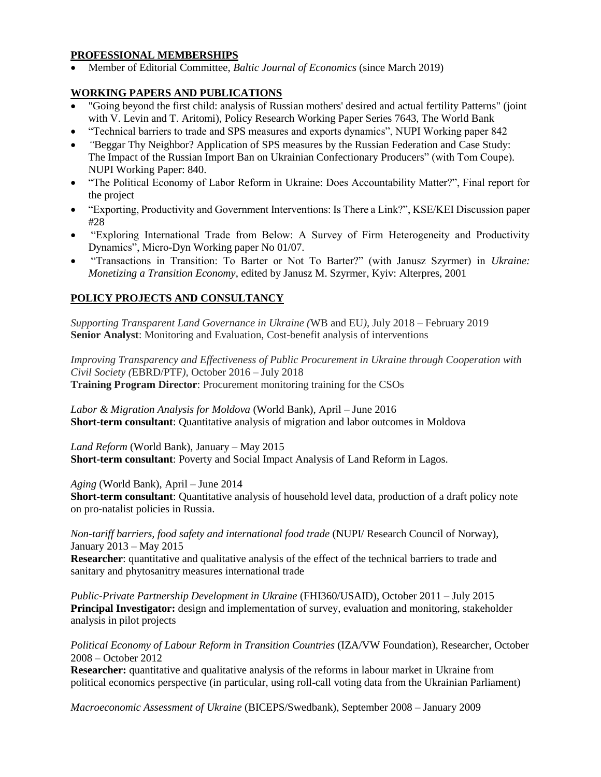## **PROFESSIONAL MEMBERSHIPS**

Member of Editorial Committee, *Baltic Journal of Economics* (since March 2019)

# **WORKING PAPERS AND PUBLICATIONS**

- "Going beyond the first child: analysis of Russian mothers' desired and actual fertility Patterns" (joint with V. Levin and T. Aritomi), Policy Research Working Paper Series 7643, The World Bank
- "Technical barriers to trade and SPS measures and exports dynamics", NUPI Working paper 842
- *"*Beggar Thy Neighbor? Application of SPS measures by the Russian Federation and Case Study: The Impact of the Russian Import Ban on Ukrainian Confectionary Producers" (with Tom Coupe)*.*  NUPI Working Paper: 840.
- "The Political Economy of Labor Reform in Ukraine: Does Accountability Matter?", Final report for the project
- "Exporting, Productivity and Government Interventions: Is There a Link?", KSE/KEI Discussion paper #28
- "Exploring International Trade from Below: A Survey of Firm Heterogeneity and Productivity Dynamics", Micro-Dyn Working paper No 01/07.
- "Transactions in Transition: To Barter or Not To Barter?" (with Janusz Szyrmer) in *Ukraine: Monetizing a Transition Economy*, edited by Janusz M. Szyrmer, Kyiv: Alterpres, 2001

# **POLICY PROJECTS AND CONSULTANCY**

*Supporting Transparent Land Governance in Ukraine (*WB and EU*),* July 2018 – February 2019 **Senior Analyst**: Monitoring and Evaluation, Cost-benefit analysis of interventions

*Improving Transparency and Effectiveness of Public Procurement in Ukraine through Cooperation with Civil Society (*EBRD/PTF*),* October 2016 – July 2018 **Training Program Director**: Procurement monitoring training for the CSOs

*Labor & Migration Analysis for Moldova* (World Bank), April – June 2016 **Short-term consultant**: Quantitative analysis of migration and labor outcomes in Moldova

*Land Reform* (World Bank), January – May 2015 **Short-term consultant**: Poverty and Social Impact Analysis of Land Reform in Lagos.

*Aging* (World Bank), April – June 2014

**Short-term consultant**: Quantitative analysis of household level data, production of a draft policy note on pro-natalist policies in Russia.

*Non-tariff barriers, food safety and international food trade* (NUPI/ Research Council of Norway), January 2013 – May 2015

**Researcher:** quantitative and qualitative analysis of the effect of the technical barriers to trade and sanitary and phytosanitry measures international trade

*Public-Private Partnership Development in Ukraine* (FHI360/USAID), October 2011 – July 2015 **Principal Investigator:** design and implementation of survey, evaluation and monitoring, stakeholder analysis in pilot projects

*Political Economy of Labour Reform in Transition Countries* (IZA/VW Foundation), Researcher, October 2008 – October 2012

**Researcher:** quantitative and qualitative analysis of the reforms in labour market in Ukraine from political economics perspective (in particular, using roll-call voting data from the Ukrainian Parliament)

*Macroeconomic Assessment of Ukraine* (BICEPS/Swedbank), September 2008 – January 2009